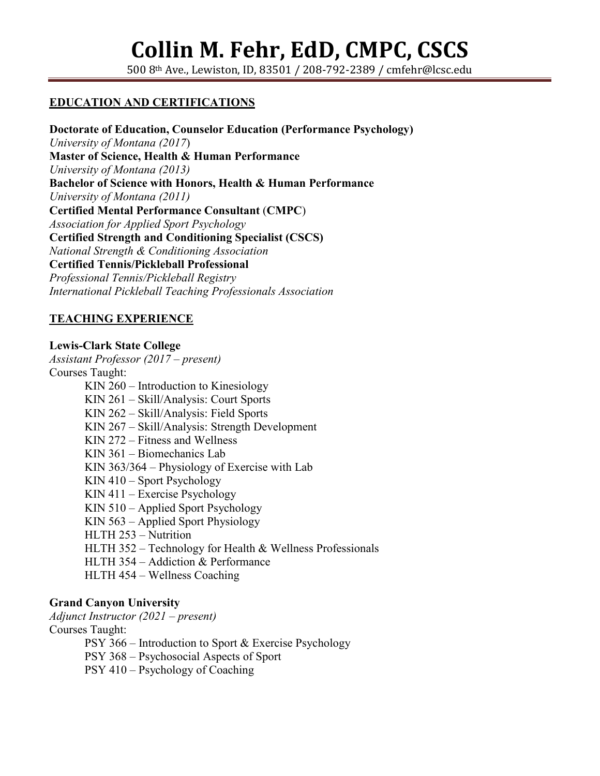500 8th Ave., Lewiston, ID, 83501 / 208-792-2389 / cmfehr@lcsc.edu

#### **EDUCATION AND CERTIFICATIONS**

**Doctorate of Education, Counselor Education (Performance Psychology)** *University of Montana (2017*) **Master of Science, Health & Human Performance**  *University of Montana (2013)* **Bachelor of Science with Honors, Health & Human Performance** *University of Montana (2011)* **Certified Mental Performance Consultant** (**CMPC**) *Association for Applied Sport Psychology* **Certified Strength and Conditioning Specialist (CSCS)** *National Strength & Conditioning Association* **Certified Tennis/Pickleball Professional** *Professional Tennis/Pickleball Registry International Pickleball Teaching Professionals Association*

#### **TEACHING EXPERIENCE**

**Lewis-Clark State College** *Assistant Professor (2017 – present)* Courses Taught: KIN 260 – Introduction to Kinesiology KIN 261 – Skill/Analysis: Court Sports KIN 262 – Skill/Analysis: Field Sports KIN 267 – Skill/Analysis: Strength Development KIN 272 – Fitness and Wellness KIN 361 – Biomechanics Lab KIN 363/364 – Physiology of Exercise with Lab KIN 410 – Sport Psychology KIN 411 – Exercise Psychology KIN 510 – Applied Sport Psychology KIN 563 – Applied Sport Physiology HLTH 253 – Nutrition HLTH 352 – Technology for Health & Wellness Professionals HLTH 354 – Addiction & Performance HLTH 454 – Wellness Coaching

#### **Grand Canyon University**

*Adjunct Instructor (2021 – present)* Courses Taught: PSY 366 – Introduction to Sport & Exercise Psychology PSY 368 – Psychosocial Aspects of Sport PSY 410 – Psychology of Coaching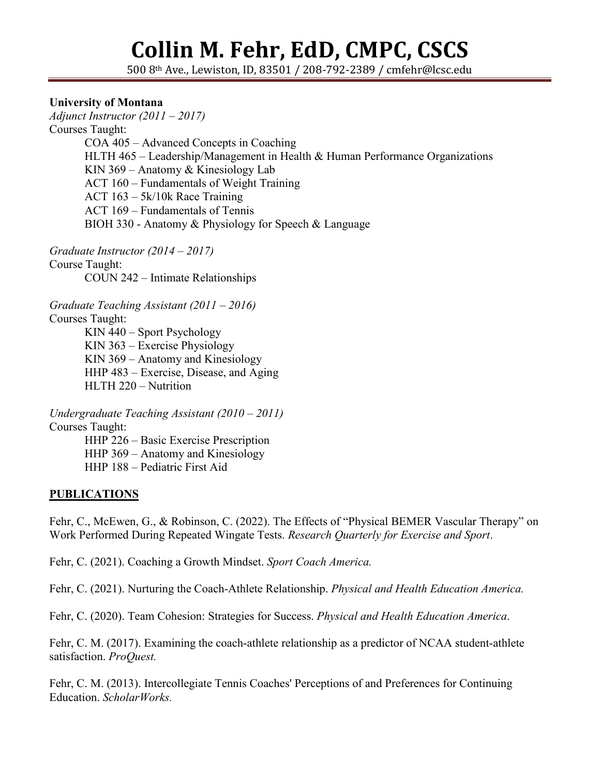500 8th Ave., Lewiston, ID, 83501 / 208-792-2389 / cmfehr@lcsc.edu

#### **University of Montana**

*Adjunct Instructor (2011 – 2017)* Courses Taught: COA 405 – Advanced Concepts in Coaching HLTH 465 – Leadership/Management in Health & Human Performance Organizations KIN 369 – Anatomy & Kinesiology Lab ACT 160 – Fundamentals of Weight Training ACT 163 – 5k/10k Race Training ACT 169 – Fundamentals of Tennis BIOH 330 - Anatomy & Physiology for Speech & Language

*Graduate Instructor (2014 – 2017)* Course Taught: COUN 242 – Intimate Relationships

*Graduate Teaching Assistant (2011 – 2016)*

Courses Taught:

KIN 440 – Sport Psychology KIN 363 – Exercise Physiology KIN 369 – Anatomy and Kinesiology HHP 483 – Exercise, Disease, and Aging HLTH 220 – Nutrition

*Undergraduate Teaching Assistant (2010 – 2011)*

Courses Taught:

HHP 226 – Basic Exercise Prescription

HHP 369 – Anatomy and Kinesiology

HHP 188 – Pediatric First Aid

#### **PUBLICATIONS**

Fehr, C., McEwen, G., & Robinson, C. (2022). The Effects of "Physical BEMER Vascular Therapy" on Work Performed During Repeated Wingate Tests. *Research Quarterly for Exercise and Sport*.

Fehr, C. (2021). Coaching a Growth Mindset. *Sport Coach America.*

Fehr, C. (2021). Nurturing the Coach-Athlete Relationship. *Physical and Health Education America.*

Fehr, C. (2020). Team Cohesion: Strategies for Success. *Physical and Health Education America*.

Fehr, C. M. (2017). Examining the coach-athlete relationship as a predictor of NCAA student-athlete satisfaction. *ProQuest.*

Fehr, C. M. (2013). Intercollegiate Tennis Coaches' Perceptions of and Preferences for Continuing Education. *ScholarWorks.*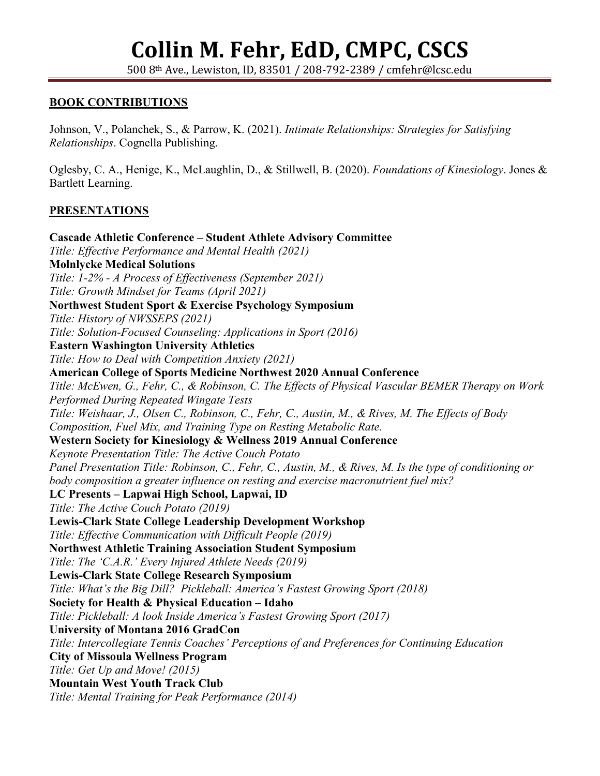500 8th Ave., Lewiston, ID, 83501 / 208-792-2389 / cmfehr@lcsc.edu

#### **BOOK CONTRIBUTIONS**

Johnson, V., Polanchek, S., & Parrow, K. (2021). *Intimate Relationships: Strategies for Satisfying Relationships*. Cognella Publishing.

Oglesby, C. A., Henige, K., McLaughlin, D., & Stillwell, B. (2020). *Foundations of Kinesiology*. Jones & Bartlett Learning.

#### **PRESENTATIONS**

**Cascade Athletic Conference – Student Athlete Advisory Committee** *Title: Effective Performance and Mental Health (2021)* **Molnlycke Medical Solutions** *Title: 1-2% - A Process of Effectiveness (September 2021) Title: Growth Mindset for Teams (April 2021)* **Northwest Student Sport & Exercise Psychology Symposium** *Title: History of NWSSEPS (2021) Title: Solution-Focused Counseling: Applications in Sport (2016)* **Eastern Washington University Athletics** *Title: How to Deal with Competition Anxiety (2021)* **American College of Sports Medicine Northwest 2020 Annual Conference** *Title: McEwen, G., Fehr, C., & Robinson, C. The Effects of Physical Vascular BEMER Therapy on Work Performed During Repeated Wingate Tests Title: Weishaar, J., Olsen C., Robinson, C., Fehr, C., Austin, M., & Rives, M. The Effects of Body Composition, Fuel Mix, and Training Type on Resting Metabolic Rate.* **Western Society for Kinesiology & Wellness 2019 Annual Conference** *Keynote Presentation Title: The Active Couch Potato Panel Presentation Title: Robinson, C., Fehr, C., Austin, M., & Rives, M. Is the type of conditioning or body composition a greater influence on resting and exercise macronutrient fuel mix?* **LC Presents – Lapwai High School, Lapwai, ID** *Title: The Active Couch Potato (2019)* **Lewis-Clark State College Leadership Development Workshop** *Title: Effective Communication with Difficult People (2019)* **Northwest Athletic Training Association Student Symposium** *Title: The 'C.A.R.' Every Injured Athlete Needs (2019)* **Lewis-Clark State College Research Symposium** *Title: What's the Big Dill? Pickleball: America's Fastest Growing Sport (2018)* **Society for Health & Physical Education – Idaho**  *Title: Pickleball: A look Inside America's Fastest Growing Sport (2017)* **University of Montana 2016 GradCon** *Title: Intercollegiate Tennis Coaches' Perceptions of and Preferences for Continuing Education* **City of Missoula Wellness Program** *Title: Get Up and Move! (2015)* **Mountain West Youth Track Club** *Title: Mental Training for Peak Performance (2014)*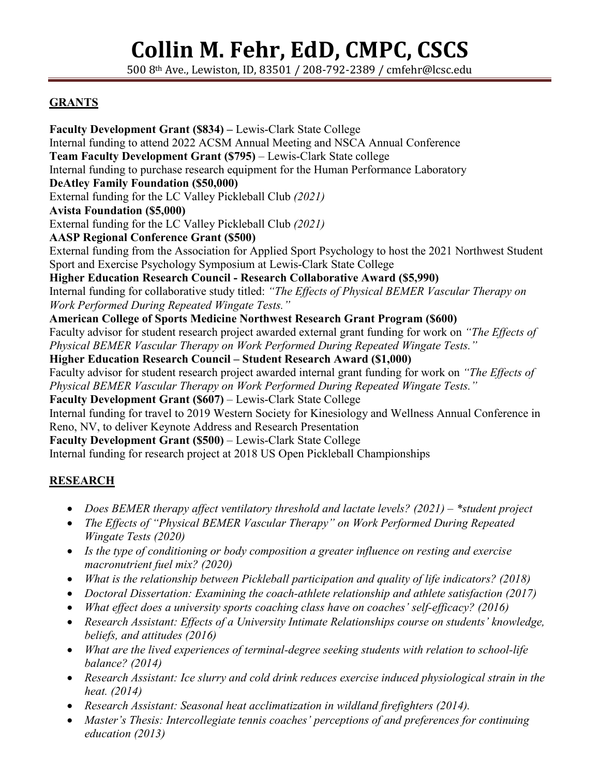500 8th Ave., Lewiston, ID, 83501 / 208-792-2389 / cmfehr@lcsc.edu

## **GRANTS**

**Faculty Development Grant (\$834) –** Lewis-Clark State College Internal funding to attend 2022 ACSM Annual Meeting and NSCA Annual Conference **Team Faculty Development Grant (\$795)** – Lewis-Clark State college Internal funding to purchase research equipment for the Human Performance Laboratory **DeAtley Family Foundation (\$50,000)** External funding for the LC Valley Pickleball Club *(2021)* **Avista Foundation (\$5,000)** External funding for the LC Valley Pickleball Club *(2021)* **AASP Regional Conference Grant (\$500)** External funding from the Association for Applied Sport Psychology to host the 2021 Northwest Student Sport and Exercise Psychology Symposium at Lewis-Clark State College **Higher Education Research Council - Research Collaborative Award (\$5,990)** Internal funding for collaborative study titled: *"The Effects of Physical BEMER Vascular Therapy on Work Performed During Repeated Wingate Tests."* **American College of Sports Medicine Northwest Research Grant Program (\$600)** Faculty advisor for student research project awarded external grant funding for work on *"The Effects of Physical BEMER Vascular Therapy on Work Performed During Repeated Wingate Tests."* **Higher Education Research Council – Student Research Award (\$1,000)** Faculty advisor for student research project awarded internal grant funding for work on *"The Effects of Physical BEMER Vascular Therapy on Work Performed During Repeated Wingate Tests."* **Faculty Development Grant (\$607)** – Lewis-Clark State College Internal funding for travel to 2019 Western Society for Kinesiology and Wellness Annual Conference in Reno, NV, to deliver Keynote Address and Research Presentation **Faculty Development Grant (\$500)** – Lewis-Clark State College Internal funding for research project at 2018 US Open Pickleball Championships

## **RESEARCH**

- *Does BEMER therapy affect ventilatory threshold and lactate levels? (2021) – \*student project*
- *The Effects of "Physical BEMER Vascular Therapy" on Work Performed During Repeated Wingate Tests (2020)*
- *Is the type of conditioning or body composition a greater influence on resting and exercise macronutrient fuel mix? (2020)*
- *What is the relationship between Pickleball participation and quality of life indicators? (2018)*
- *Doctoral Dissertation: Examining the coach-athlete relationship and athlete satisfaction (2017)*
- *What effect does a university sports coaching class have on coaches' self-efficacy? (2016)*
- *Research Assistant: Effects of a University Intimate Relationships course on students' knowledge, beliefs, and attitudes (2016)*
- *What are the lived experiences of terminal-degree seeking students with relation to school-life balance? (2014)*
- *Research Assistant: Ice slurry and cold drink reduces exercise induced physiological strain in the heat. (2014)*
- *Research Assistant: Seasonal heat acclimatization in wildland firefighters (2014).*
- *Master's Thesis: Intercollegiate tennis coaches' perceptions of and preferences for continuing education (2013)*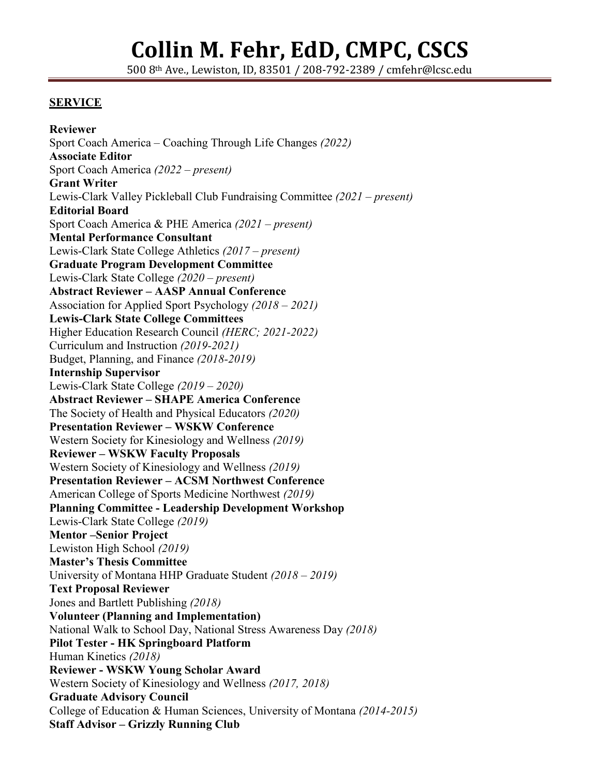500 8th Ave., Lewiston, ID, 83501 / 208-792-2389 / cmfehr@lcsc.edu

#### **SERVICE**

**Reviewer** Sport Coach America – Coaching Through Life Changes *(2022)* **Associate Editor** Sport Coach America *(2022 – present)* **Grant Writer**  Lewis-Clark Valley Pickleball Club Fundraising Committee *(2021 – present)* **Editorial Board** Sport Coach America & PHE America *(2021 – present)* **Mental Performance Consultant** Lewis-Clark State College Athletics *(2017 – present)* **Graduate Program Development Committee** Lewis-Clark State College *(2020 – present)* **Abstract Reviewer – AASP Annual Conference** Association for Applied Sport Psychology *(2018 – 2021)* **Lewis-Clark State College Committees** Higher Education Research Council *(HERC; 2021-2022)* Curriculum and Instruction *(2019-2021)* Budget, Planning, and Finance *(2018-2019)* **Internship Supervisor** Lewis-Clark State College *(2019 – 2020)* **Abstract Reviewer – SHAPE America Conference** The Society of Health and Physical Educators *(2020)* **Presentation Reviewer – WSKW Conference** Western Society for Kinesiology and Wellness *(2019)* **Reviewer – WSKW Faculty Proposals** Western Society of Kinesiology and Wellness *(2019)* **Presentation Reviewer – ACSM Northwest Conference** American College of Sports Medicine Northwest *(2019)* **Planning Committee - Leadership Development Workshop** Lewis-Clark State College *(2019)* **Mentor –Senior Project** Lewiston High School *(2019)* **Master's Thesis Committee** University of Montana HHP Graduate Student *(2018 – 2019)* **Text Proposal Reviewer** Jones and Bartlett Publishing *(2018)* **Volunteer (Planning and Implementation)** National Walk to School Day, National Stress Awareness Day *(2018)* **Pilot Tester - HK Springboard Platform** Human Kinetics *(2018)* **Reviewer - WSKW Young Scholar Award** Western Society of Kinesiology and Wellness *(2017, 2018)* **Graduate Advisory Council** College of Education & Human Sciences, University of Montana *(2014-2015)* **Staff Advisor – Grizzly Running Club**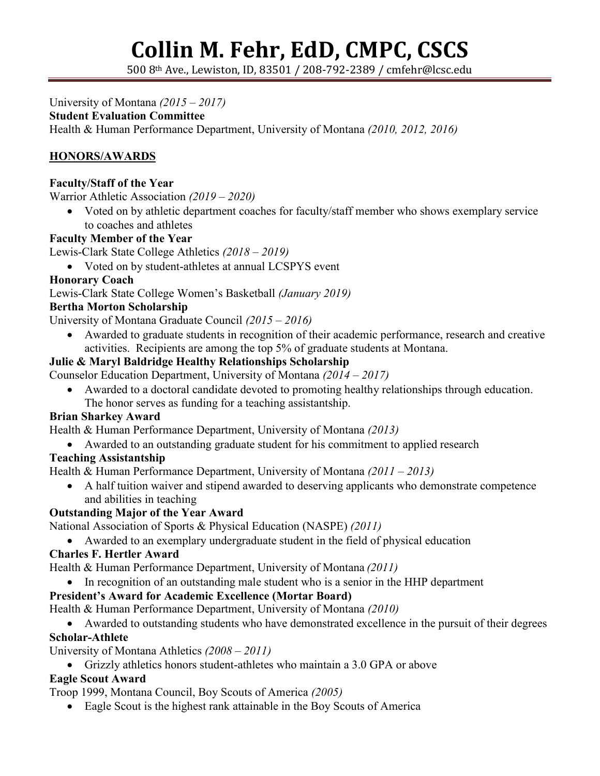500 8th Ave., Lewiston, ID, 83501 / 208-792-2389 / cmfehr@lcsc.edu

University of Montana *(2015 – 2017)*

### **Student Evaluation Committee**

Health & Human Performance Department, University of Montana *(2010, 2012, 2016)*

# **HONORS/AWARDS**

#### **Faculty/Staff of the Year**

Warrior Athletic Association *(2019 – 2020)*

• Voted on by athletic department coaches for faculty/staff member who shows exemplary service to coaches and athletes

#### **Faculty Member of the Year**

Lewis-Clark State College Athletics *(2018 – 2019)*

• Voted on by student-athletes at annual LCSPYS event

#### **Honorary Coach**

Lewis-Clark State College Women's Basketball *(January 2019)*

#### **Bertha Morton Scholarship**

University of Montana Graduate Council *(2015 – 2016)*

• Awarded to graduate students in recognition of their academic performance, research and creative activities. Recipients are among the top 5% of graduate students at Montana.

### **Julie & Maryl Baldridge Healthy Relationships Scholarship**

Counselor Education Department, University of Montana *(2014 – 2017)*

• Awarded to a doctoral candidate devoted to promoting healthy relationships through education. The honor serves as funding for a teaching assistantship.

#### **Brian Sharkey Award**

Health & Human Performance Department, University of Montana *(2013)*

• Awarded to an outstanding graduate student for his commitment to applied research

#### **Teaching Assistantship**

Health & Human Performance Department, University of Montana *(2011 – 2013)*

• A half tuition waiver and stipend awarded to deserving applicants who demonstrate competence and abilities in teaching

#### **Outstanding Major of the Year Award**

National Association of Sports & Physical Education (NASPE) *(2011)*

• Awarded to an exemplary undergraduate student in the field of physical education

#### **Charles F. Hertler Award**

Health & Human Performance Department, University of Montana *(2011)*

• In recognition of an outstanding male student who is a senior in the HHP department

#### **President's Award for Academic Excellence (Mortar Board)**

Health & Human Performance Department, University of Montana *(2010)*

• Awarded to outstanding students who have demonstrated excellence in the pursuit of their degrees **Scholar-Athlete**

#### University of Montana Athletics *(2008 – 2011)*

• Grizzly athletics honors student-athletes who maintain a 3.0 GPA or above

## **Eagle Scout Award**

Troop 1999, Montana Council, Boy Scouts of America *(2005)*

• Eagle Scout is the highest rank attainable in the Boy Scouts of America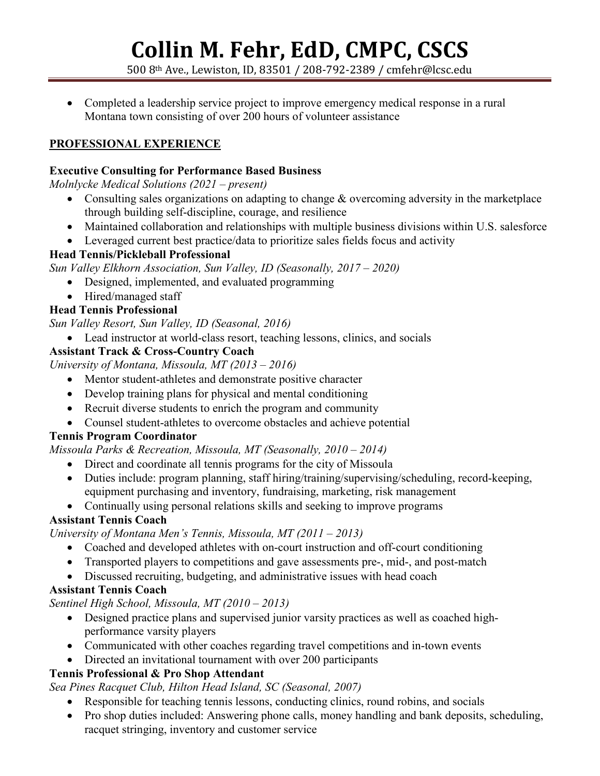500 8th Ave., Lewiston, ID, 83501 / 208-792-2389 / cmfehr@lcsc.edu

• Completed a leadership service project to improve emergency medical response in a rural Montana town consisting of over 200 hours of volunteer assistance

### **PROFESSIONAL EXPERIENCE**

#### **Executive Consulting for Performance Based Business**

*Molnlycke Medical Solutions (2021 – present)*

- Consulting sales organizations on adapting to change  $\&$  overcoming adversity in the marketplace through building self-discipline, courage, and resilience
- Maintained collaboration and relationships with multiple business divisions within U.S. salesforce
- Leveraged current best practice/data to prioritize sales fields focus and activity

#### **Head Tennis/Pickleball Professional**

*Sun Valley Elkhorn Association, Sun Valley, ID (Seasonally, 2017 – 2020)*

- Designed, implemented, and evaluated programming
- Hired/managed staff

### **Head Tennis Professional**

*Sun Valley Resort, Sun Valley, ID (Seasonal, 2016)*

• Lead instructor at world-class resort, teaching lessons, clinics, and socials

#### **Assistant Track & Cross-Country Coach**

*University of Montana, Missoula, MT (2013 – 2016)*

- Mentor student-athletes and demonstrate positive character
- Develop training plans for physical and mental conditioning
- Recruit diverse students to enrich the program and community
- Counsel student-athletes to overcome obstacles and achieve potential

#### **Tennis Program Coordinator**

*Missoula Parks & Recreation, Missoula, MT (Seasonally, 2010 – 2014)*

- Direct and coordinate all tennis programs for the city of Missoula
- Duties include: program planning, staff hiring/training/supervising/scheduling, record-keeping, equipment purchasing and inventory, fundraising, marketing, risk management
- Continually using personal relations skills and seeking to improve programs

#### **Assistant Tennis Coach**

*University of Montana Men's Tennis, Missoula, MT (2011 – 2013)*

- Coached and developed athletes with on-court instruction and off-court conditioning
- Transported players to competitions and gave assessments pre-, mid-, and post-match
- Discussed recruiting, budgeting, and administrative issues with head coach

#### **Assistant Tennis Coach**

*Sentinel High School, Missoula, MT (2010 – 2013)*

- Designed practice plans and supervised junior varsity practices as well as coached highperformance varsity players
- Communicated with other coaches regarding travel competitions and in-town events
- Directed an invitational tournament with over 200 participants

## **Tennis Professional & Pro Shop Attendant**

*Sea Pines Racquet Club, Hilton Head Island, SC (Seasonal, 2007)*

- Responsible for teaching tennis lessons, conducting clinics, round robins, and socials
- Pro shop duties included: Answering phone calls, money handling and bank deposits, scheduling, racquet stringing, inventory and customer service